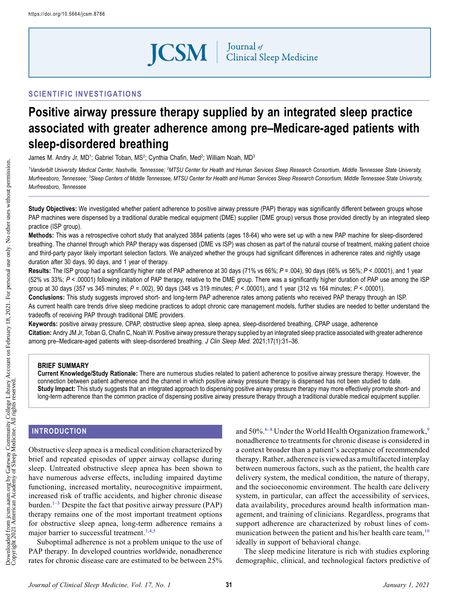**JCSM** | Journal of Clinical Sleep Medicine

## SCIENTIFIC INVESTIGATIONS

# Positive airway pressure therapy supplied by an integrated sleep practice associated with greater adherence among pre–Medicare-aged patients with sleep-disordered breathing

James M. Andry Jr, MD<sup>1</sup>; Gabriel Toban, MS<sup>2</sup>; Cynthia Chafin, Med<sup>2</sup>; William Noah, MD<sup>3</sup>

<sup>1</sup>Vanderbilt University Medical Center, Nashville, Tennessee; <sup>2</sup>MTSU Center for Health and Human Services Sleep Research Consortium, Middle Tennessee State University, Murfreesboro, Tennessee; <sup>3</sup>Sleep Centers of Middle Tennessee, MTSU Center for Health and Human Services Sleep Research Consortium, Middle Tennessee State University, Murfreesboro, Tennessee

Study Objectives: We investigated whether patient adherence to positive airway pressure (PAP) therapy was significantly different between groups whose PAP machines were dispensed by a traditional durable medical equipment (DME) supplier (DME group) versus those provided directly by an integrated sleep practice (ISP group).

Methods: This was a retrospective cohort study that analyzed 3884 patients (ages 18-64) who were set up with a new PAP machine for sleep-disordered breathing. The channel through which PAP therapy was dispensed (DME vs ISP) was chosen as part of the natural course of treatment, making patient choice and third-party payor likely important selection factors. We analyzed whether the groups had significant differences in adherence rates and nightly usage duration after 30 days, 90 days, and 1 year of therapy.

Results: The ISP group had a significantly higher rate of PAP adherence at 30 days (71% vs 66%;  $P = 0.004$ ), 90 days (66% vs 56%;  $P < 0.0001$ ), and 1 year (52% vs 33%; P < .00001) following initiation of PAP therapy, relative to the DME group. There was a significantly higher duration of PAP use among the ISP group at 30 days (357 vs 345 minutes;  $P = .002$ ), 90 days (348 vs 319 minutes;  $P < .00001$ ), and 1 year (312 vs 164 minutes;  $P < .00001$ ).

Conclusions: This study suggests improved short- and long-term PAP adherence rates among patients who received PAP therapy through an ISP. As current health care trends drive sleep medicine practices to adopt chronic care management models, further studies are needed to better understand the tradeoffs of receiving PAP through traditional DME providers.

Keywords: positive airway pressure, CPAP, obstructive sleep apnea, sleep apnea, sleep-disordered breathing, CPAP usage, adherence Citation: Andry JM Jr, Toban G, Chafin C, Noah W. Positive airway pressure therapy supplied by an integrated sleep practice associated with greater adherence among pre–Medicare-aged patients with sleep-disordered breathing. J Clin Sleep Med. 2021;17(1):31–36.

#### BRIEF SUMMARY

Current Knowledge/Study Rationale: There are numerous studies related to patient adherence to positive airway pressure therapy. However, the connection between patient adherence and the channel in which positive airway pressure therapy is dispensed has not been studied to date. Study Impact: This study suggests that an integrated approach to dispensing positive airway pressure therapy may more effectively promote short- and long-term adherence than the common practice of dispensing positive airway pressure therapy through a traditional durable medical equipment supplier.

## INTRODUCTION

Obstructive sleep apnea is a medical condition characterized by brief and repeated episodes of upper airway collapse during sleep. Untreated obstructive sleep apnea has been shown to have numerous adverse effects, including impaired daytime functioning, increased mortality, neurocognitive impairment, increased risk of traffic accidents, and higher chronic disease burden.<sup>[1](#page-4-0)–[3](#page-4-0)</sup> Despite the fact that positive airway pressure (PAP) therapy remains one of the most important treatment options for obstructive sleep apnea, long-term adherence remains a major barrier to successful treatment.<sup>[1,4,5](#page-4-0)</sup>

Suboptimal adherence is not a problem unique to the use of PAP therapy. In developed countries worldwide, nonadherence rates for chronic disease care are estimated to be between 25%

and  $50\%$ .<sup>[6](#page-4-0)–[8](#page-4-0)</sup> Under the World Health Organization framework,<sup>[9](#page-4-0)</sup> nonadherence to treatments for chronic disease is considered in a context broader than a patient's acceptance of recommended therapy.Rather, adherence is viewed as a multifacetedinterplay between numerous factors, such as the patient, the health care delivery system, the medical condition, the nature of therapy, and the socioeconomic environment. The health care delivery system, in particular, can affect the accessibility of services, data availability, procedures around health information management, and training of clinicians. Regardless, programs that support adherence are characterized by robust lines of communication between the patient and his/her health care team, $10$ ideally in support of behavioral change.

The sleep medicine literature is rich with studies exploring demographic, clinical, and technological factors predictive of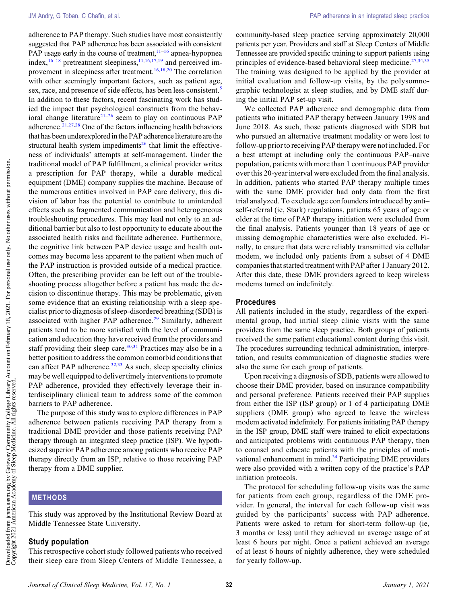adherence to PAP therapy. Such studies have most consistently suggested that PAP adherence has been associated with consistent PAP usage early in the course of treatment,  $11-16$  $11-16$  apnea-hypopnea index,  $16-18$  $16-18$  $16-18$  pretreatment sleepiness,  $11,16,17,19$  $11,16,17,19$  $11,16,17,19$  and perceived im-provement in sleepiness after treatment.<sup>[16](#page-4-0),[18,](#page-4-0)[20](#page-5-0)</sup> The correlation with other seemingly important factors, such as patient age, sex, race, and presence of side effects, has been less consistent.<sup>[5](#page-4-0)</sup> In addition to these factors, recent fascinating work has studied the impact that psychological constructs from the behav-ioral change literature<sup>[21](#page-5-0)–[26](#page-5-0)</sup> seem to play on continuous PAP adherence. $21,27,28$  $21,27,28$  $21,27,28$  One of the factors influencing health behaviors that has been underexplored inthe PAP adherence literature are the structural health system impediments<sup>26</sup> that limit the effectiveness of individuals' attempts at self-management. Under the traditional model of PAP fulfillment, a clinical provider writes a prescription for PAP therapy, while a durable medical equipment (DME) company supplies the machine. Because of the numerous entities involved in PAP care delivery, this division of labor has the potential to contribute to unintended effects such as fragmented communication and heterogeneous troubleshooting procedures. This may lead not only to an additional barrier but also to lost opportunity to educate about the associated health risks and facilitate adherence. Furthermore, the cognitive link between PAP device usage and health outcomes may become less apparent to the patient when much of the PAP instruction is provided outside of a medical practice. Often, the prescribing provider can be left out of the troubleshooting process altogether before a patient has made the decision to discontinue therapy. This may be problematic, given some evidence that an existing relationship with a sleep specialist prior to diagnosis of sleep-disordered breathing (SDB) is associated with higher PAP adherence.<sup>[29](#page-5-0)</sup> Similarly, adherent patients tend to be more satisfied with the level of communication and education they have received from the providers and staff providing their sleep care.<sup>[30,31](#page-5-0)</sup> Practices may also be in a better position to address the common comorbid conditions that can affect PAP adherence. $32,33$  As such, sleep specialty clinics may be well equipped to deliver timely interventions to promote PAP adherence, provided they effectively leverage their interdisciplinary clinical team to address some of the common barriers to PAP adherence.

The purpose of this study was to explore differences in PAP adherence between patients receiving PAP therapy from a traditional DME provider and those patients receiving PAP therapy through an integrated sleep practice (ISP). We hypothesized superior PAP adherence among patients who receive PAP therapy directly from an ISP, relative to those receiving PAP therapy from a DME supplier.

### METHODS

This study was approved by the Institutional Review Board at Middle Tennessee State University.

#### Study population

This retrospective cohort study followed patients who received their sleep care from Sleep Centers of Middle Tennessee, a community-based sleep practice serving approximately 20,000 patients per year. Providers and staff at Sleep Centers of Middle Tennessee are provided specific training to support patients using principles of evidence-based behavioral sleep medicine.<sup>[27](#page-5-0),[34,35](#page-5-0)</sup> The training was designed to be applied by the provider at initial evaluation and follow-up visits, by the polysomnographic technologist at sleep studies, and by DME staff during the initial PAP set-up visit.

We collected PAP adherence and demographic data from patients who initiated PAP therapy between January 1998 and June 2018. As such, those patients diagnosed with SDB but who pursued an alternative treatment modality or were lost to follow-up prior to receiving PAP therapy were not included. For a best attempt at including only the continuous PAP–naive population, patients with more than 1 continuous PAP provider over this 20-year interval were excluded from the final analysis. In addition, patients who started PAP therapy multiple times with the same DME provider had only data from the first trial analyzed. To exclude age confounders introduced by anti– self-referral (ie, Stark) regulations, patients 65 years of age or older at the time of PAP therapy initiation were excluded from the final analysis. Patients younger than 18 years of age or missing demographic characteristics were also excluded. Finally, to ensure that data were reliably transmitted via cellular modem, we included only patients from a subset of 4 DME companies that started treatment with PAP after 1 January 2012. After this date, these DME providers agreed to keep wireless modems turned on indefinitely.

#### Procedures

All patients included in the study, regardless of the experimental group, had initial sleep clinic visits with the same providers from the same sleep practice. Both groups of patients received the same patient educational content during this visit. The procedures surrounding technical administration, interpretation, and results communication of diagnostic studies were also the same for each group of patients.

Upon receiving a diagnosis of SDB, patients were allowed to choose their DME provider, based on insurance compatibility and personal preference. Patients received their PAP supplies from either the ISP (ISP group) or 1 of 4 participating DME suppliers (DME group) who agreed to leave the wireless modem activated indefinitely. For patients initiating PAP therapy in the ISP group, DME staff were trained to elicit expectations and anticipated problems with continuous PAP therapy, then to counsel and educate patients with the principles of moti-vational enhancement in mind.<sup>[34](#page-5-0)</sup> Participating DME providers were also provided with a written copy of the practice's PAP initiation protocols.

The protocol for scheduling follow-up visits was the same for patients from each group, regardless of the DME provider. In general, the interval for each follow-up visit was guided by the participants' success with PAP adherence. Patients were asked to return for short-term follow-up (ie, 3 months or less) until they achieved an average usage of at least 6 hours per night. Once a patient achieved an average of at least 6 hours of nightly adherence, they were scheduled for yearly follow-up.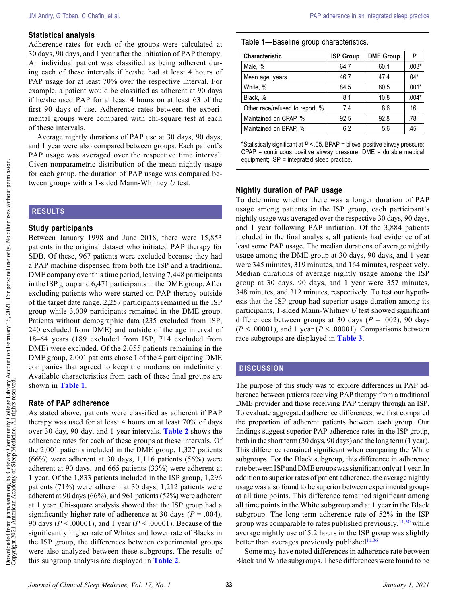#### Statistical analysis

Adherence rates for each of the groups were calculated at 30 days, 90 days, and 1 year after the initiation of PAP therapy. An individual patient was classified as being adherent during each of these intervals if he/she had at least 4 hours of PAP usage for at least 70% over the respective interval. For example, a patient would be classified as adherent at 90 days if he/she used PAP for at least 4 hours on at least 63 of the first 90 days of use. Adherence rates between the experimental groups were compared with chi-square test at each of these intervals.

Average nightly durations of PAP use at 30 days, 90 days, and 1 year were also compared between groups. Each patient's PAP usage was averaged over the respective time interval. Given nonparametric distribution of the mean nightly usage for each group, the duration of PAP usage was compared between groups with a 1-sided Mann-Whitney  $U$  test.

#### RESULTS

#### Study participants

Between January 1998 and June 2018, there were 15,853 patients in the original dataset who initiated PAP therapy for SDB. Of these, 967 patients were excluded because they had a PAP machine dispensed from both the ISP and a traditional DME company over this time period, leaving 7,448 participants in the ISP group and 6,471 participants in the DME group. After excluding patients who were started on PAP therapy outside of the target date range, 2,257 participants remained in the ISP group while 3,009 participants remained in the DME group. Patients without demographic data (235 excluded from ISP, 240 excluded from DME) and outside of the age interval of 18–64 years (189 excluded from ISP, 714 excluded from DME) were excluded. Of the 2,055 patients remaining in the DME group, 2,001 patients chose 1 of the 4 participating DME companies that agreed to keep the modems on indefinitely. Available characteristics from each of these final groups are shown in Table 1.

#### Rate of PAP adherence

As stated above, patients were classified as adherent if PAP therapy was used for at least 4 hours on at least 70% of days over 30-day, 90-day, and 1-year intervals. [Table 2](#page-3-0) shows the adherence rates for each of these groups at these intervals. Of the 2,001 patients included in the DME group, 1,327 patients (66%) were adherent at 30 days, 1,116 patients (56%) were adherent at 90 days, and 665 patients (33%) were adherent at 1 year. Of the 1,833 patients included in the ISP group, 1,296 patients (71%) were adherent at 30 days, 1,212 patients were adherent at 90 days (66%), and 961 patients (52%) were adherent at 1 year. Chi-square analysis showed that the ISP group had a significantly higher rate of adherence at 30 days ( $P = .004$ ), 90 days ( $P < .00001$ ), and 1 year ( $P < .00001$ ). Because of the significantly higher rate of Whites and lower rate of Blacks in the ISP group, the differences between experimental groups were also analyzed between these subgroups. The results of this subgroup analysis are displayed in [Table 2](#page-3-0).

#### Table 1—Baseline group characteristics.

| <b>Characteristic</b>           | <b>ISP Group</b> | <b>DME Group</b> | P       |
|---------------------------------|------------------|------------------|---------|
| Male, %                         | 64.7             | 60.1             | $.003*$ |
| Mean age, years                 | 46.7             | 47.4             | $.04*$  |
| White, %                        | 84.5             | 80.5             | $.001*$ |
| Black, %                        | 8.1              | 10.8             | $.004*$ |
| Other race/refused to report, % | 7.4              | 8.6              | .16     |
| Maintained on CPAP, %           | 92.5             | 92.8             | .78     |
| Maintained on BPAP, %           | 6.2              | 5.6              | .45     |

\*Statistically significant at P < .05. BPAP = bilevel positive airway pressure; CPAP = continuous positive airway pressure; DME = durable medical equipment; ISP = integrated sleep practice.

#### Nightly duration of PAP usage

To determine whether there was a longer duration of PAP usage among patients in the ISP group, each participant's nightly usage was averaged over the respective 30 days, 90 days, and 1 year following PAP initiation. Of the 3,884 patients included in the final analysis, all patients had evidence of at least some PAP usage. The median durations of average nightly usage among the DME group at 30 days, 90 days, and 1 year were 345 minutes, 319 minutes, and 164 minutes, respectively. Median durations of average nightly usage among the ISP group at 30 days, 90 days, and 1 year were 357 minutes, 348 minutes, and 312 minutes, respectively. To test our hypothesis that the ISP group had superior usage duration among its participants, 1-sided Mann-Whitney  $U$  test showed significant differences between groups at 30 days ( $P = .002$ ), 90 days  $(P < .00001)$ , and 1 year  $(P < .00001)$ . Comparisons between race subgroups are displayed in [Table 3](#page-3-0).

## **DISCUSSION**

The purpose of this study was to explore differences in PAP adherence between patients receiving PAP therapy from a traditional DME provider and those receiving PAP therapy through an ISP. To evaluate aggregated adherence differences, we first compared the proportion of adherent patients between each group. Our findings suggest superior PAP adherence rates in the ISP group, both in the short term (30 days, 90 days) and the long term (1 year). This difference remained significant when comparing the White subgroups. For the Black subgroup, this difference in adherence rate between ISP and DME groups was significant only at 1 year. In addition to superior rates of patient adherence, the average nightly usage was also found to be superior between experimental groups at all time points. This difference remained significant among all time points in the White subgroup and at 1 year in the Black subgroup. The long-term adherence rate of 52% in the ISP group was comparable to rates published previously,  $11,30$  $11,30$  $11,30$  while average nightly use of 5.2 hours in the ISP group was slightly better than averages previously published $11,36$  $11,36$ 

Some may have noted differences in adherence rate between Black and White subgroups. These differences were found to be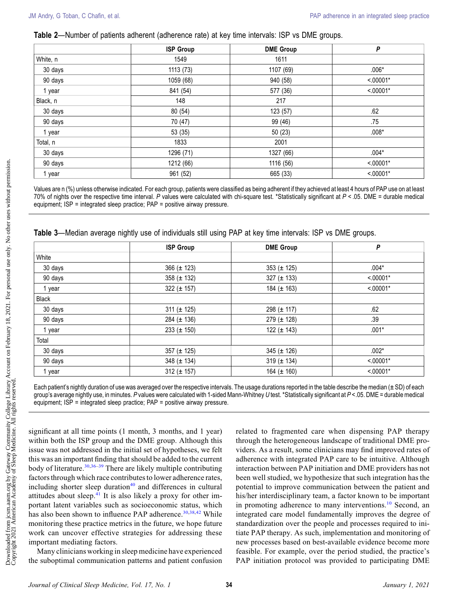<span id="page-3-0"></span>Table 2—Number of patients adherent (adherence rate) at key time intervals: ISP vs DME groups.

|          | <b>ISP Group</b> | <b>DME Group</b> | P           |
|----------|------------------|------------------|-------------|
| White, n | 1549             | 1611             |             |
| 30 days  | 1113 (73)        | 1107 (69)        | $.006*$     |
| 90 days  | 1059 (68)        | 940 (58)         | $< 00001*$  |
| 1 year   | 841 (54)         | 577 (36)         | $< 0.0001*$ |
| Black, n | 148              | 217              |             |
| 30 days  | 80 (54)          | 123 (57)         | .62         |
| 90 days  | 70 (47)          | 99 (46)          | .75         |
| 1 year   | 53 (35)          | 50(23)           | $.008*$     |
| Total, n | 1833             | 2001             |             |
| 30 days  | 1296 (71)        | 1327 (66)        | $.004*$     |
| 90 days  | 1212 (66)        | 1116 (56)        | $< 00001*$  |
| 1 year   | 961 (52)         | 665 (33)         | $< 0.0001*$ |

Values are n (%) unless otherwise indicated. For each group, patients were classified as being adherent if they achieved at least 4 hours of PAP use on at least 70% of nights over the respective time interval. P values were calculated with chi-square test. \*Statistically significant at  $P < 05$ . DME = durable medical equipment; ISP = integrated sleep practice; PAP = positive airway pressure.

|         | <b>ISP Group</b> | <b>DME Group</b> | P           |
|---------|------------------|------------------|-------------|
| White   |                  |                  |             |
| 30 days | 366 ( $\pm$ 123) | 353 ( $\pm$ 125) | $.004*$     |
| 90 days | 358 ( $\pm$ 132) | 327 ( $\pm$ 133) | $< 0.0001*$ |
| 1 year  | 322 ( $\pm$ 157) | 184 $(\pm 163)$  | $< 0.0001*$ |
| Black   |                  |                  |             |
| 30 days | 311 ( $\pm$ 125) | 298 $(\pm 117)$  | .62         |
| 90 days | 284 ( $\pm$ 136) | 279 (± 128)      | .39         |
| 1 year  | 233 ( $\pm$ 150) | 122 $(\pm 143)$  | $.001*$     |
| Total   |                  |                  |             |
| 30 days | 357 ( $\pm$ 125) | 345 ( $\pm$ 126) | $.002*$     |
| 90 days | 348 ( $\pm$ 134) | 319 ( $\pm$ 134) | $< 0.0001*$ |
| 1 year  | 312 ( $\pm$ 157) | 164 $(\pm 160)$  | $< 0.0001*$ |

Table 3—Median average nightly use of individuals still using PAP at key time intervals: ISP vs DME groups.

Each patient's nightly duration of use was averaged over the respective intervals. The usage durations reported in the table describe the median (± SD) of each group's average nightly use, in minutes. P values were calculated with 1-sided Mann-Whitney U test. \*Statistically significant at P <.05. DME = durable medical equipment; ISP = integrated sleep practice; PAP = positive airway pressure.

significant at all time points (1 month, 3 months, and 1 year) within both the ISP group and the DME group. Although this issue was not addressed in the initial set of hypotheses, we felt this was an important finding that should be added to the current body of literature.<sup>[30](#page-5-0),[36](#page-5-0)–[39](#page-5-0)</sup> There are likely multiple contributing factors through which race contributes to lower adherence rates, including shorter sleep duration $40$  and differences in cultural attitudes about sleep. $41$  It is also likely a proxy for other important latent variables such as socioeconomic status, which has also been shown to influence PAP adherence.<sup>[30](#page-5-0),[38,42](#page-5-0)</sup> While monitoring these practice metrics in the future, we hope future work can uncover effective strategies for addressing these important mediating factors.

Many clinicians working in sleep medicine have experienced the suboptimal communication patterns and patient confusion related to fragmented care when dispensing PAP therapy through the heterogeneous landscape of traditional DME providers. As a result, some clinicians may find improved rates of adherence with integrated PAP care to be intuitive. Although interaction between PAP initiation and DME providers has not been well studied, we hypothesize that such integration has the potential to improve communication between the patient and his/her interdisciplinary team, a factor known to be important in promoting adherence to many interventions.<sup>[10](#page-4-0)</sup> Second, an integrated care model fundamentally improves the degree of standardization over the people and processes required to initiate PAP therapy. As such, implementation and monitoring of new processes based on best-available evidence become more feasible. For example, over the period studied, the practice's PAP initiation protocol was provided to participating DME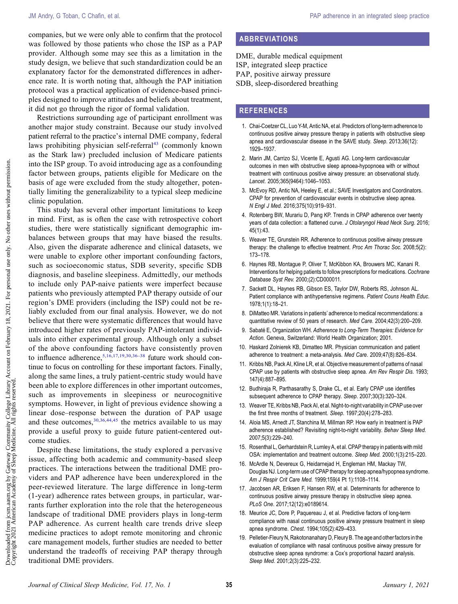<span id="page-4-0"></span>companies, but we were only able to confirm that the protocol was followed by those patients who chose the ISP as a PAP provider. Although some may see this as a limitation in the study design, we believe that such standardization could be an explanatory factor for the demonstrated differences in adherence rate. It is worth noting that, although the PAP initiation protocol was a practical application of evidence-based principles designed to improve attitudes and beliefs about treatment, it did not go through the rigor of formal validation.

Restrictions surrounding age of participant enrollment was another major study constraint. Because our study involved patient referral to the practice's internal DME company, federal laws prohibiting physician self-referral $43$  (commonly known as the Stark law) precluded inclusion of Medicare patients into the ISP group. To avoid introducing age as a confounding factor between groups, patients eligible for Medicare on the basis of age were excluded from the study altogether, potentially limiting the generalizability to a typical sleep medicine clinic population.

This study has several other important limitations to keep in mind. First, as is often the case with retrospective cohort studies, there were statistically significant demographic imbalances between groups that may have biased the results. Also, given the disparate adherence and clinical datasets, we were unable to explore other important confounding factors, such as socioeconomic status, SDB severity, specific SDB diagnosis, and baseline sleepiness. Admittedly, our methods to include only PAP-naive patients were imperfect because patients who previously attempted PAP therapy outside of our region's DME providers (including the ISP) could not be reliably excluded from our final analysis. However, we do not believe that there were systematic differences that would have introduced higher rates of previously PAP-intolerant individuals into either experimental group. Although only a subset of the above confounding factors have consistently proven to influence adherence,  $5,16,17,19,30,36-38$  $5,16,17,19,30,36-38$  $5,16,17,19,30,36-38$  $5,16,17,19,30,36-38$  future work should continue to focus on controlling for these important factors. Finally, along the same lines, a truly patient-centric study would have been able to explore differences in other important outcomes, such as improvements in sleepiness or neurocognitive symptoms. However, in light of previous evidence showing a linear dose–response between the duration of PAP usage and these outcomes,  $30,36,44,45$  $30,36,44,45$  $30,36,44,45$  the metrics available to us may provide a useful proxy to guide future patient-centered outcome studies.

Despite these limitations, the study explored a pervasive issue, affecting both academic and community-based sleep practices. The interactions between the traditional DME providers and PAP adherence have been underexplored in the peer-reviewed literature. The large difference in long-term (1-year) adherence rates between groups, in particular, warrants further exploration into the role that the heterogeneous landscape of traditional DME providers plays in long-term PAP adherence. As current health care trends drive sleep medicine practices to adopt remote monitoring and chronic care management models, further studies are needed to better understand the tradeoffs of receiving PAP therapy through traditional DME providers.

## ABBREVIATIONS

DME, durable medical equipment ISP, integrated sleep practice PAP, positive airway pressure SDB, sleep-disordered breathing

#### **REFERENCES**

- 1. Chai-Coetzer CL, Luo Y-M, Antic NA, et al. Predictors of long-term adherence to continuous positive airway pressure therapy in patients with obstructive sleep apnea and cardiovascular disease in the SAVE study. Sleep. 2013;36(12): 1929–1937.
- 2. Marin JM, Carrizo SJ, Vicente E, Agusti AG. Long-term cardiovascular outcomes in men with obstructive sleep apnoea-hypopnoea with or without treatment with continuous positive airway pressure: an observational study. Lancet. 2005;365(9464):1046–1053.
- 3. McEvoy RD, Antic NA, Heeley E, et al.; SAVE Investigators and Coordinators. CPAP for prevention of cardiovascular events in obstructive sleep apnea. N Engl J Med. 2016;375(10):919–931.
- 4. Rotenberg BW, Murariu D, Pang KP. Trends in CPAP adherence over twenty years of data collection: a flattened curve. J Otolaryngol Head Neck Surg. 2016; 45(1):43.
- 5. Weaver TE, Grunstein RR. Adherence to continuous positive airway pressure therapy: the challenge to effective treatment. Proc Am Thorac Soc. 2008;5(2): 173–178.
- 6. Haynes RB, Montague P, Oliver T, McKibbon KA, Brouwers MC, Kanani R. Interventions for helping patients to follow prescriptions for medications. Cochrane Database Syst Rev. 2000;(2):CD000011.
- 7. Sackett DL, Haynes RB, Gibson ES, Taylor DW, Roberts RS, Johnson AL. Patient compliance with antihypertensive regimens. Patient Couns Health Educ. 1978;1(1):18–21.
- 8. DiMatteo MR. Variations in patients' adherence to medical recommendations: a quantitative review of 50 years of research. Med Care. 2004;42(3):200–209.
- 9. Sabaté E, Organization WH. Adherence to Long-Term Therapies: Evidence for Action. Geneva, Switzerland: World Health Organization; 2001.
- 10. Haskard Zolnierek KB, Dimatteo MR. Physician communication and patient adherence to treatment: a meta-analysis. Med Care. 2009;47(8):826–834.
- 11. Kribbs NB, Pack AI, Kline LR, et al. Objective measurement of patterns of nasal CPAP use by patients with obstructive sleep apnea. Am Rev Respir Dis. 1993; 147(4):887–895.
- 12. Budhiraja R, Parthasarathy S, Drake CL, et al. Early CPAP use identifies subsequent adherence to CPAP therapy. Sleep. 2007;30(3):320–324.
- 13. Weaver TE, Kribbs NB, Pack AI, et al. Night-to-night variability in CPAP use over the first three months of treatment. Sleep. 1997;20(4):278–283.
- 14. Aloia MS, Arnedt JT, Stanchina M, Millman RP. How early in treatment is PAP adherence established? Revisiting night-to-night variability. Behav Sleep Med. 2007;5(3):229–240.
- 15. Rosenthal L, Gerhardstein R, Lumley A, et al. CPAP therapy in patients with mild OSA: implementation and treatment outcome. Sleep Med. 2000;1(3):215–220.
- 16. McArdle N, Devereux G, Heidarnejad H, Engleman HM, Mackay TW, Douglas NJ. Long-term use of CPAP therapy for sleep apnea/hypopnea syndrome. Am J Respir Crit Care Med. 1999;159(4 Pt 1):1108–1114.
- 17. Jacobsen AR, Eriksen F, Hansen RW, et al. Determinants for adherence to continuous positive airway pressure therapy in obstructive sleep apnea. PLoS One. 2017;12(12):e0189614.
- 18. Meurice JC, Dore P, Paquereau J, et al. Predictive factors of long-term compliance with nasal continuous positive airway pressure treatment in sleep apnea syndrome. Chest. 1994;105(2):429–433.
- 19. Pelletier-Fleury N, Rakotonanahary D, Fleury B. The age and other factors in the evaluation of compliance with nasal continuous positive airway pressure for obstructive sleep apnea syndrome: a Cox's proportional hazard analysis. Sleep Med. 2001;2(3):225–232.